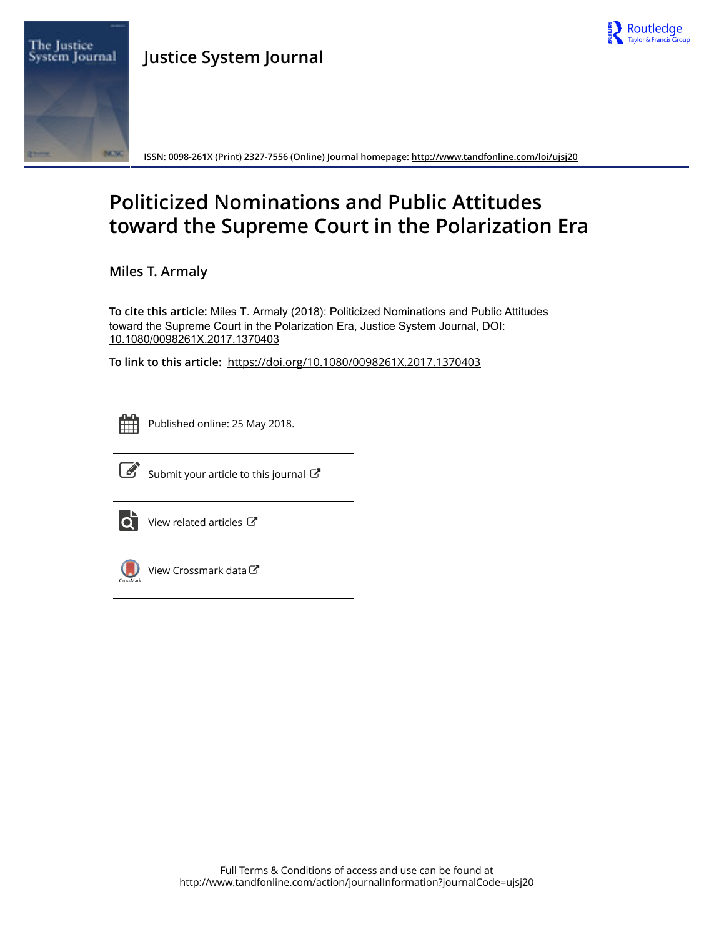

**Justice System Journal**



**ISSN: 0098-261X (Print) 2327-7556 (Online) Journal homepage: <http://www.tandfonline.com/loi/ujsj20>**

# **Politicized Nominations and Public Attitudes toward the Supreme Court in the Polarization Era**

**Miles T. Armaly**

**To cite this article:** Miles T. Armaly (2018): Politicized Nominations and Public Attitudes toward the Supreme Court in the Polarization Era, Justice System Journal, DOI: [10.1080/0098261X.2017.1370403](http://www.tandfonline.com/action/showCitFormats?doi=10.1080/0098261X.2017.1370403)

**To link to this article:** <https://doi.org/10.1080/0098261X.2017.1370403>



Published online: 25 May 2018.



 $\overrightarrow{S}$  [Submit your article to this journal](http://www.tandfonline.com/action/authorSubmission?journalCode=ujsj20&show=instructions)  $\overrightarrow{S}$ 



 $\overrightarrow{Q}$  [View related articles](http://www.tandfonline.com/doi/mlt/10.1080/0098261X.2017.1370403)  $\overrightarrow{C}$ 



[View Crossmark data](http://crossmark.crossref.org/dialog/?doi=10.1080/0098261X.2017.1370403&domain=pdf&date_stamp=2018-05-25) $\mathbb{C}$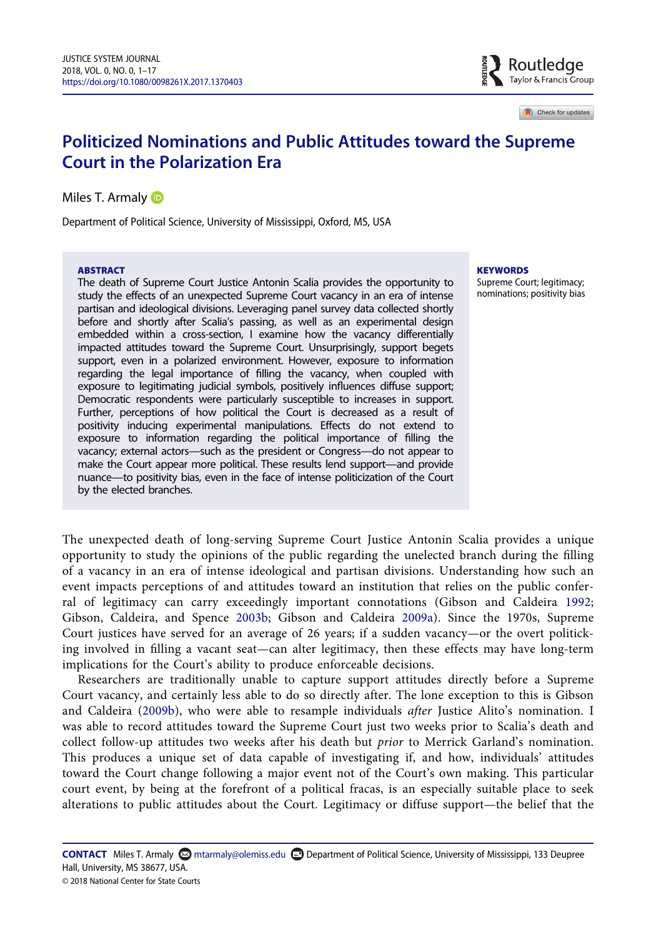

Check for updates

# Politicized Nominations and Public Attitudes toward the Supreme Court in the Polarization Era

Miles T. Armal[y](#page-15-0) **D** 

Department of Political Science, University of Mississippi, Oxford, MS, USA

#### ABSTRACT

The death of Supreme Court Justice Antonin Scalia provides the opportunity to study the effects of an unexpected Supreme Court vacancy in an era of intense partisan and ideological divisions. Leveraging panel survey data collected shortly before and shortly after Scalia's passing, as well as an experimental design embedded within a cross-section, I examine how the vacancy differentially impacted attitudes toward the Supreme Court. Unsurprisingly, support begets support, even in a polarized environment. However, exposure to information regarding the legal importance of filling the vacancy, when coupled with exposure to legitimating judicial symbols, positively influences diffuse support; Democratic respondents were particularly susceptible to increases in support. Further, perceptions of how political the Court is decreased as a result of positivity inducing experimental manipulations. Effects do not extend to exposure to information regarding the political importance of filling the vacancy; external actors—such as the president or Congress—do not appear to make the Court appear more political. These results lend support—and provide nuance—to positivity bias, even in the face of intense politicization of the Court by the elected branches.

#### **KEYWORDS**

Supreme Court; legitimacy; nominations; positivity bias

<span id="page-1-0"></span>The unexpected death of long-serving Supreme Court Justice Antonin Scalia provides a unique opportunity to study the opinions of the public regarding the unelected branch during the filling of a vacancy in an era of intense ideological and partisan divisions. Understanding how such an event impacts perceptions of and attitudes toward an institution that relies on the public conferral of legitimacy can carry exceedingly important connotations (Gibson and Caldeira [1992;](#page-16-0) Gibson, Caldeira, and Spence [2003b;](#page-16-1) Gibson and Caldeira [2009a\)](#page-16-2). Since the 1970s, Supreme Court justices have served for an average of 26 years; if a sudden vacancy—or the overt politicking involved in filling a vacant seat—can alter legitimacy, then these effects may have long-term implications for the Court's ability to produce enforceable decisions.

<span id="page-1-2"></span><span id="page-1-1"></span>Researchers are traditionally unable to capture support attitudes directly before a Supreme Court vacancy, and certainly less able to do so directly after. The lone exception to this is Gibson and Caldeira ([2009b](#page-16-3)), who were able to resample individuals after Justice Alito's nomination. I was able to record attitudes toward the Supreme Court just two weeks prior to Scalia's death and collect follow-up attitudes two weeks after his death but prior to Merrick Garland's nomination. This produces a unique set of data capable of investigating if, and how, individuals' attitudes toward the Court change following a major event not of the Court's own making. This particular court event, by being at the forefront of a political fracas, is an especially suitable place to seek alterations to public attitudes about the Court. Legitimacy or diffuse support—the belief that the

CONTACT Miles T. Armaly [mtarmaly@olemiss.edu](mailto:mtarmaly@olemiss.edu) Department of Political Science, University of Mississippi, 133 Deupree Hall, University, MS 38677, USA.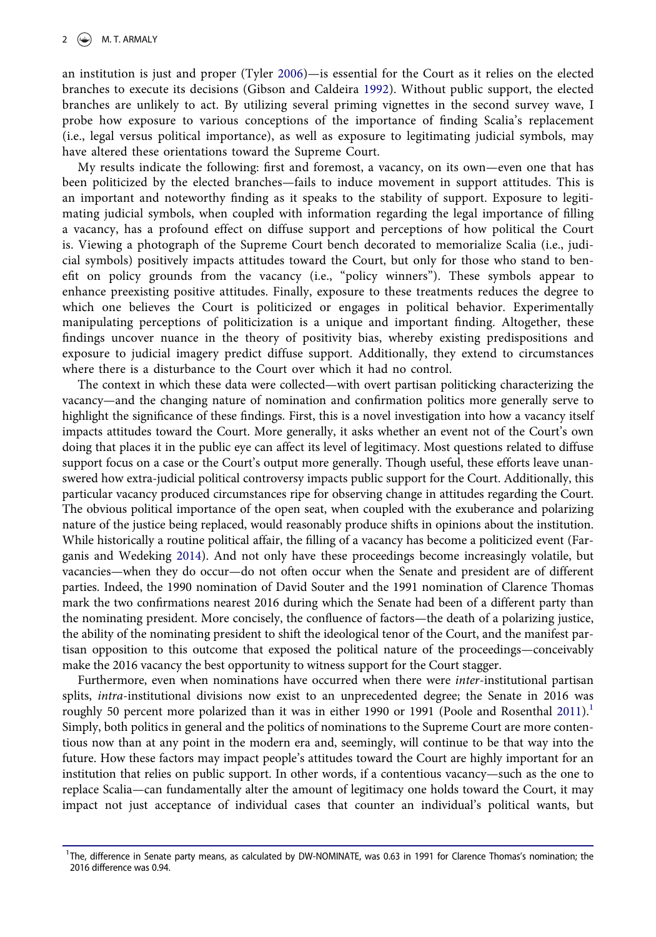<span id="page-2-3"></span>an institution is just and proper (Tyler [2006\)](#page-17-0)—is essential for the Court as it relies on the elected branches to execute its decisions (Gibson and Caldeira [1992\)](#page-16-0). Without public support, the elected branches are unlikely to act. By utilizing several priming vignettes in the second survey wave, I probe how exposure to various conceptions of the importance of finding Scalia's replacement (i.e., legal versus political importance), as well as exposure to legitimating judicial symbols, may have altered these orientations toward the Supreme Court.

My results indicate the following: first and foremost, a vacancy, on its own—even one that has been politicized by the elected branches—fails to induce movement in support attitudes. This is an important and noteworthy finding as it speaks to the stability of support. Exposure to legitimating judicial symbols, when coupled with information regarding the legal importance of filling a vacancy, has a profound effect on diffuse support and perceptions of how political the Court is. Viewing a photograph of the Supreme Court bench decorated to memorialize Scalia (i.e., judicial symbols) positively impacts attitudes toward the Court, but only for those who stand to benefit on policy grounds from the vacancy (i.e., "policy winners"). These symbols appear to enhance preexisting positive attitudes. Finally, exposure to these treatments reduces the degree to which one believes the Court is politicized or engages in political behavior. Experimentally manipulating perceptions of politicization is a unique and important finding. Altogether, these findings uncover nuance in the theory of positivity bias, whereby existing predispositions and exposure to judicial imagery predict diffuse support. Additionally, they extend to circumstances where there is a disturbance to the Court over which it had no control.

The context in which these data were collected—with overt partisan politicking characterizing the vacancy—and the changing nature of nomination and confirmation politics more generally serve to highlight the significance of these findings. First, this is a novel investigation into how a vacancy itself impacts attitudes toward the Court. More generally, it asks whether an event not of the Court's own doing that places it in the public eye can affect its level of legitimacy. Most questions related to diffuse support focus on a case or the Court's output more generally. Though useful, these efforts leave unanswered how extra-judicial political controversy impacts public support for the Court. Additionally, this particular vacancy produced circumstances ripe for observing change in attitudes regarding the Court. The obvious political importance of the open seat, when coupled with the exuberance and polarizing nature of the justice being replaced, would reasonably produce shifts in opinions about the institution. While historically a routine political affair, the filling of a vacancy has become a politicized event (Farganis and Wedeking [2014\)](#page-16-4). And not only have these proceedings become increasingly volatile, but vacancies—when they do occur—do not often occur when the Senate and president are of different parties. Indeed, the 1990 nomination of David Souter and the 1991 nomination of Clarence Thomas mark the two confirmations nearest 2016 during which the Senate had been of a different party than the nominating president. More concisely, the confluence of factors—the death of a polarizing justice, the ability of the nominating president to shift the ideological tenor of the Court, and the manifest partisan opposition to this outcome that exposed the political nature of the proceedings—conceivably make the 2016 vacancy the best opportunity to witness support for the Court stagger.

<span id="page-2-2"></span><span id="page-2-1"></span>Furthermore, even when nominations have occurred when there were *inter*-institutional partisan splits, *intra*-institutional divisions now exist to an unprecedented degree; the Senate in 2016 was roughly 50 percent more polarized than it was in either 1990 or 1991 (Poole and Rosenthal [2011\)](#page-17-1).<sup>[1](#page-2-0)</sup> Simply, both politics in general and the politics of nominations to the Supreme Court are more contentious now than at any point in the modern era and, seemingly, will continue to be that way into the future. How these factors may impact people's attitudes toward the Court are highly important for an institution that relies on public support. In other words, if a contentious vacancy—such as the one to replace Scalia—can fundamentally alter the amount of legitimacy one holds toward the Court, it may impact not just acceptance of individual cases that counter an individual's political wants, but

<span id="page-2-0"></span><sup>&</sup>lt;sup>1</sup>The, difference in Senate party means, as calculated by DW-NOMINATE, was 0.63 in 1991 for Clarence Thomas's nomination; the 2016 difference was 0.94.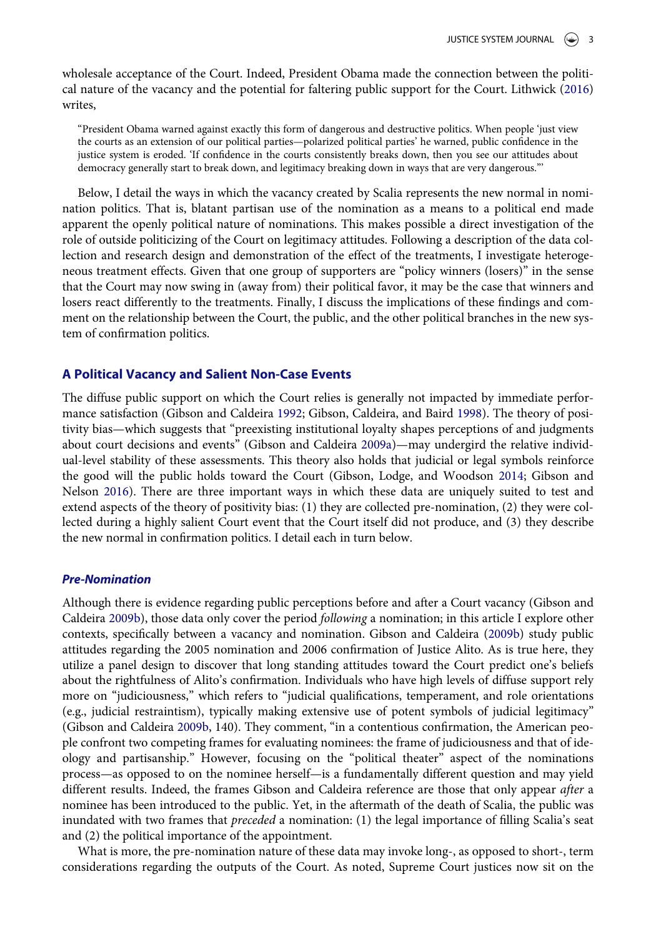<span id="page-3-3"></span>wholesale acceptance of the Court. Indeed, President Obama made the connection between the political nature of the vacancy and the potential for faltering public support for the Court. Lithwick ([2016\)](#page-16-5) writes,

"President Obama warned against exactly this form of dangerous and destructive politics. When people 'just view the courts as an extension of our political parties—polarized political parties' he warned, public confidence in the justice system is eroded. 'If confidence in the courts consistently breaks down, then you see our attitudes about democracy generally start to break down, and legitimacy breaking down in ways that are very dangerous."'

Below, I detail the ways in which the vacancy created by Scalia represents the new normal in nomination politics. That is, blatant partisan use of the nomination as a means to a political end made apparent the openly political nature of nominations. This makes possible a direct investigation of the role of outside politicizing of the Court on legitimacy attitudes. Following a description of the data collection and research design and demonstration of the effect of the treatments, I investigate heterogeneous treatment effects. Given that one group of supporters are "policy winners (losers)" in the sense that the Court may now swing in (away from) their political favor, it may be the case that winners and losers react differently to the treatments. Finally, I discuss the implications of these findings and comment on the relationship between the Court, the public, and the other political branches in the new system of confirmation politics.

#### A Political Vacancy and Salient Non-Case Events

<span id="page-3-2"></span><span id="page-3-1"></span><span id="page-3-0"></span>The diffuse public support on which the Court relies is generally not impacted by immediate performance satisfaction (Gibson and Caldeira [1992](#page-16-0); Gibson, Caldeira, and Baird [1998](#page-16-6)). The theory of positivity bias—which suggests that "preexisting institutional loyalty shapes perceptions of and judgments about court decisions and events" (Gibson and Caldeira [2009a\)](#page-16-2)—may undergird the relative individual-level stability of these assessments. This theory also holds that judicial or legal symbols reinforce the good will the public holds toward the Court (Gibson, Lodge, and Woodson [2014](#page-16-7); Gibson and Nelson [2016\)](#page-16-8). There are three important ways in which these data are uniquely suited to test and extend aspects of the theory of positivity bias: (1) they are collected pre-nomination, (2) they were collected during a highly salient Court event that the Court itself did not produce, and (3) they describe the new normal in confirmation politics. I detail each in turn below.

# Pre-Nomination

Although there is evidence regarding public perceptions before and after a Court vacancy (Gibson and Caldeira [2009b\)](#page-16-3), those data only cover the period following a nomination; in this article I explore other contexts, specifically between a vacancy and nomination. Gibson and Caldeira [\(2009b](#page-16-3)) study public attitudes regarding the 2005 nomination and 2006 confirmation of Justice Alito. As is true here, they utilize a panel design to discover that long standing attitudes toward the Court predict one's beliefs about the rightfulness of Alito's confirmation. Individuals who have high levels of diffuse support rely more on "judiciousness," which refers to "judicial qualifications, temperament, and role orientations (e.g., judicial restraintism), typically making extensive use of potent symbols of judicial legitimacy" (Gibson and Caldeira [2009b](#page-16-3), 140). They comment, "in a contentious confirmation, the American people confront two competing frames for evaluating nominees: the frame of judiciousness and that of ideology and partisanship." However, focusing on the "political theater" aspect of the nominations process—as opposed to on the nominee herself—is a fundamentally different question and may yield different results. Indeed, the frames Gibson and Caldeira reference are those that only appear after a nominee has been introduced to the public. Yet, in the aftermath of the death of Scalia, the public was inundated with two frames that *preceded* a nomination: (1) the legal importance of filling Scalia's seat and (2) the political importance of the appointment.

What is more, the pre-nomination nature of these data may invoke long-, as opposed to short-, term considerations regarding the outputs of the Court. As noted, Supreme Court justices now sit on the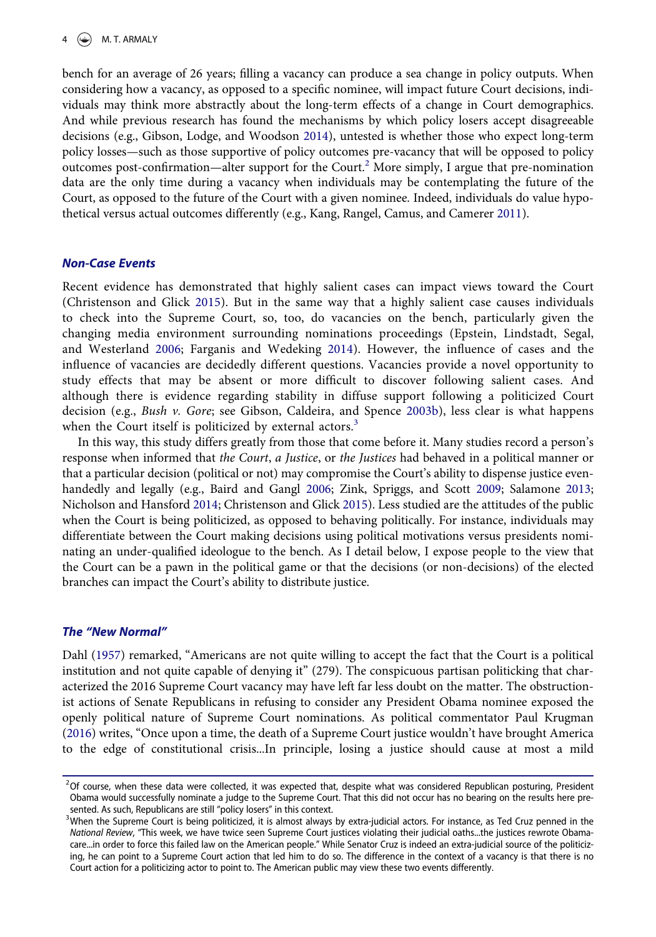bench for an average of 26 years; filling a vacancy can produce a sea change in policy outputs. When considering how a vacancy, as opposed to a specific nominee, will impact future Court decisions, individuals may think more abstractly about the long-term effects of a change in Court demographics. And while previous research has found the mechanisms by which policy losers accept disagreeable decisions (e.g., Gibson, Lodge, and Woodson [2014](#page-16-7)), untested is whether those who expect long-term policy losses—such as those supportive of policy outcomes pre-vacancy that will be opposed to policy outcomes post-confirmation—alter support for the Court.[2](#page-4-0) More simply, I argue that pre-nomination data are the only time during a vacancy when individuals may be contemplating the future of the Court, as opposed to the future of the Court with a given nominee. Indeed, individuals do value hypothetical versus actual outcomes differently (e.g., Kang, Rangel, Camus, and Camerer [2011](#page-16-9)).

#### <span id="page-4-6"></span>Non-Case Events

<span id="page-4-5"></span>Recent evidence has demonstrated that highly salient cases can impact views toward the Court (Christenson and Glick [2015\)](#page-16-10). But in the same way that a highly salient case causes individuals to check into the Supreme Court, so, too, do vacancies on the bench, particularly given the changing media environment surrounding nominations proceedings (Epstein, Lindstadt, Segal, and Westerland [2006;](#page-16-11) Farganis and Wedeking [2014](#page-16-4)). However, the influence of cases and the influence of vacancies are decidedly different questions. Vacancies provide a novel opportunity to study effects that may be absent or more difficult to discover following salient cases. And although there is evidence regarding stability in diffuse support following a politicized Court decision (e.g., Bush v. Gore; see Gibson, Caldeira, and Spence [2003b\)](#page-16-1), less clear is what happens when the Court itself is politicized by external actors.<sup>[3](#page-4-1)</sup>

<span id="page-4-3"></span><span id="page-4-2"></span>In this way, this study differs greatly from those that come before it. Many studies record a person's response when informed that the Court, a Justice, or the Justices had behaved in a political manner or that a particular decision (political or not) may compromise the Court's ability to dispense justice evenhandedly and legally (e.g., Baird and Gangl [2006](#page-15-1); Zink, Spriggs, and Scott [2009](#page-17-2); Salamone [2013;](#page-17-3) Nicholson and Hansford [2014;](#page-16-12) Christenson and Glick [2015\)](#page-16-10). Less studied are the attitudes of the public when the Court is being politicized, as opposed to behaving politically. For instance, individuals may differentiate between the Court making decisions using political motivations versus presidents nominating an under-qualified ideologue to the bench. As I detail below, I expose people to the view that the Court can be a pawn in the political game or that the decisions (or non-decisions) of the elected branches can impact the Court's ability to distribute justice.

#### The "New Normal"

<span id="page-4-4"></span>Dahl ([1957\)](#page-16-13) remarked, "Americans are not quite willing to accept the fact that the Court is a political institution and not quite capable of denying it" (279). The conspicuous partisan politicking that characterized the 2016 Supreme Court vacancy may have left far less doubt on the matter. The obstructionist actions of Senate Republicans in refusing to consider any President Obama nominee exposed the openly political nature of Supreme Court nominations. As political commentator Paul Krugman [\(2016](#page-16-14)) writes, "Once upon a time, the death of a Supreme Court justice wouldn't have brought America to the edge of constitutional crisis...In principle, losing a justice should cause at most a mild

<span id="page-4-7"></span><span id="page-4-0"></span><sup>&</sup>lt;sup>2</sup>Of course, when these data were collected, it was expected that, despite what was considered Republican posturing, President Obama would successfully nominate a judge to the Supreme Court. That this did not occur has no bearing on the results here presented. As such, Republicans are still "policy losers" in this context.

<span id="page-4-1"></span><sup>&</sup>lt;sup>3</sup>When the Supreme Court is being politicized, it is almost always by extra-judicial actors. For instance, as Ted Cruz penned in the National Review, "This week, we have twice seen Supreme Court justices violating their judicial oaths...the justices rewrote Obamacare...in order to force this failed law on the American people." While Senator Cruz is indeed an extra-judicial source of the politicizing, he can point to a Supreme Court action that led him to do so. The difference in the context of a vacancy is that there is no Court action for a politicizing actor to point to. The American public may view these two events differently.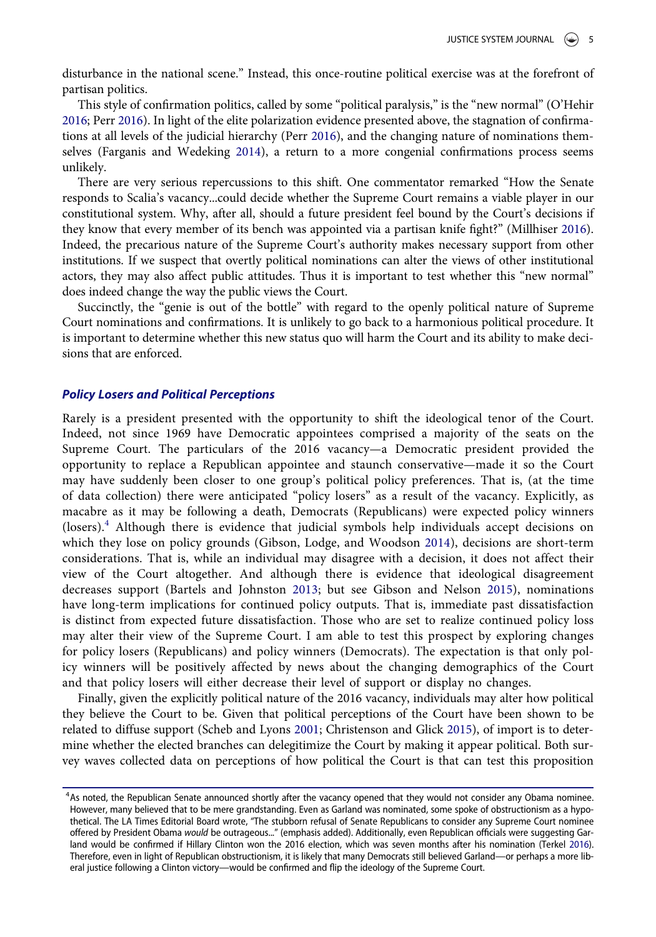disturbance in the national scene." Instead, this once-routine political exercise was at the forefront of partisan politics.

<span id="page-5-4"></span><span id="page-5-3"></span>This style of confirmation politics, called by some "political paralysis," is the "new normal" (O'Hehir [2016;](#page-17-4) Perr [2016\)](#page-17-5). In light of the elite polarization evidence presented above, the stagnation of confirmations at all levels of the judicial hierarchy (Perr [2016](#page-17-5)), and the changing nature of nominations themselves (Farganis and Wedeking [2014](#page-16-4)), a return to a more congenial confirmations process seems unlikely.

<span id="page-5-2"></span>There are very serious repercussions to this shift. One commentator remarked "How the Senate responds to Scalia's vacancy...could decide whether the Supreme Court remains a viable player in our constitutional system. Why, after all, should a future president feel bound by the Court's decisions if they know that every member of its bench was appointed via a partisan knife fight?" (Millhiser [2016](#page-16-15)). Indeed, the precarious nature of the Supreme Court's authority makes necessary support from other institutions. If we suspect that overtly political nominations can alter the views of other institutional actors, they may also affect public attitudes. Thus it is important to test whether this "new normal" does indeed change the way the public views the Court.

Succinctly, the "genie is out of the bottle" with regard to the openly political nature of Supreme Court nominations and confirmations. It is unlikely to go back to a harmonious political procedure. It is important to determine whether this new status quo will harm the Court and its ability to make decisions that are enforced.

### Policy Losers and Political Perceptions

Rarely is a president presented with the opportunity to shift the ideological tenor of the Court. Indeed, not since 1969 have Democratic appointees comprised a majority of the seats on the Supreme Court. The particulars of the 2016 vacancy—a Democratic president provided the opportunity to replace a Republican appointee and staunch conservative—made it so the Court may have suddenly been closer to one group's political policy preferences. That is, (at the time of data collection) there were anticipated "policy losers" as a result of the vacancy. Explicitly, as macabre as it may be following a death, Democrats (Republicans) were expected policy winners (losers).[4](#page-5-0) Although there is evidence that judicial symbols help individuals accept decisions on which they lose on policy grounds (Gibson, Lodge, and Woodson [2014\)](#page-16-7), decisions are short-term considerations. That is, while an individual may disagree with a decision, it does not affect their view of the Court altogether. And although there is evidence that ideological disagreement decreases support (Bartels and Johnston [2013](#page-15-2); but see Gibson and Nelson [2015\)](#page-16-16), nominations have long-term implications for continued policy outputs. That is, immediate past dissatisfaction is distinct from expected future dissatisfaction. Those who are set to realize continued policy loss may alter their view of the Supreme Court. I am able to test this prospect by exploring changes for policy losers (Republicans) and policy winners (Democrats). The expectation is that only policy winners will be positively affected by news about the changing demographics of the Court and that policy losers will either decrease their level of support or display no changes.

<span id="page-5-5"></span><span id="page-5-1"></span>Finally, given the explicitly political nature of the 2016 vacancy, individuals may alter how political they believe the Court to be. Given that political perceptions of the Court have been shown to be related to diffuse support (Scheb and Lyons [2001](#page-17-6); Christenson and Glick [2015\)](#page-16-10), of import is to determine whether the elected branches can delegitimize the Court by making it appear political. Both survey waves collected data on perceptions of how political the Court is that can test this proposition

<span id="page-5-6"></span><span id="page-5-0"></span><sup>4</sup> As noted, the Republican Senate announced shortly after the vacancy opened that they would not consider any Obama nominee. However, many believed that to be mere grandstanding. Even as Garland was nominated, some spoke of obstructionism as a hypothetical. The LA Times Editorial Board wrote, "The stubborn refusal of Senate Republicans to consider any Supreme Court nominee offered by President Obama would be outrageous..." (emphasis added). Additionally, even Republican officials were suggesting Garland would be confirmed if Hillary Clinton won the 2016 election, which was seven months after his nomination (Terkel [2016](#page-17-7)). Therefore, even in light of Republican obstructionism, it is likely that many Democrats still believed Garland—or perhaps a more liberal justice following a Clinton victory—would be confirmed and flip the ideology of the Supreme Court.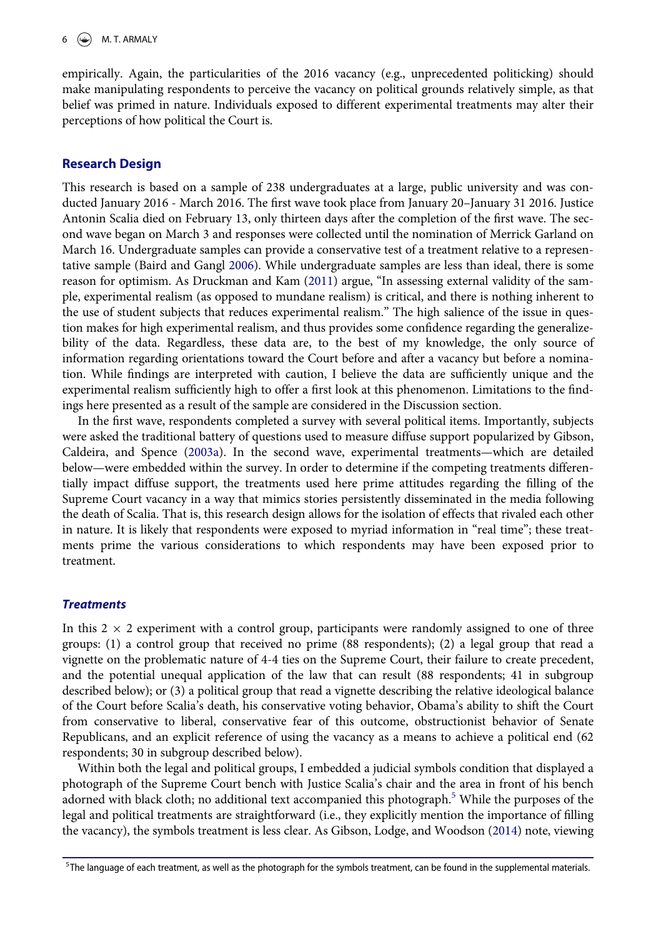empirically. Again, the particularities of the 2016 vacancy (e.g., unprecedented politicking) should make manipulating respondents to perceive the vacancy on political grounds relatively simple, as that belief was primed in nature. Individuals exposed to different experimental treatments may alter their perceptions of how political the Court is.

# Research Design

<span id="page-6-1"></span>This research is based on a sample of 238 undergraduates at a large, public university and was conducted January 2016 - March 2016. The first wave took place from January 20–January 31 2016. Justice Antonin Scalia died on February 13, only thirteen days after the completion of the first wave. The second wave began on March 3 and responses were collected until the nomination of Merrick Garland on March 16. Undergraduate samples can provide a conservative test of a treatment relative to a representative sample (Baird and Gangl [2006](#page-15-1)). While undergraduate samples are less than ideal, there is some reason for optimism. As Druckman and Kam ([2011](#page-16-17)) argue, "In assessing external validity of the sample, experimental realism (as opposed to mundane realism) is critical, and there is nothing inherent to the use of student subjects that reduces experimental realism." The high salience of the issue in question makes for high experimental realism, and thus provides some confidence regarding the generalizebility of the data. Regardless, these data are, to the best of my knowledge, the only source of information regarding orientations toward the Court before and after a vacancy but before a nomination. While findings are interpreted with caution, I believe the data are sufficiently unique and the experimental realism sufficiently high to offer a first look at this phenomenon. Limitations to the findings here presented as a result of the sample are considered in the Discussion section.

<span id="page-6-2"></span>In the first wave, respondents completed a survey with several political items. Importantly, subjects were asked the traditional battery of questions used to measure diffuse support popularized by Gibson, Caldeira, and Spence ([2003a](#page-16-18)). In the second wave, experimental treatments—which are detailed below—were embedded within the survey. In order to determine if the competing treatments differentially impact diffuse support, the treatments used here prime attitudes regarding the filling of the Supreme Court vacancy in a way that mimics stories persistently disseminated in the media following the death of Scalia. That is, this research design allows for the isolation of effects that rivaled each other in nature. It is likely that respondents were exposed to myriad information in "real time"; these treatments prime the various considerations to which respondents may have been exposed prior to treatment.

# **Treatments**

In this  $2 \times 2$  experiment with a control group, participants were randomly assigned to one of three groups: (1) a control group that received no prime (88 respondents); (2) a legal group that read a vignette on the problematic nature of 4-4 ties on the Supreme Court, their failure to create precedent, and the potential unequal application of the law that can result (88 respondents; 41 in subgroup described below); or (3) a political group that read a vignette describing the relative ideological balance of the Court before Scalia's death, his conservative voting behavior, Obama's ability to shift the Court from conservative to liberal, conservative fear of this outcome, obstructionist behavior of Senate Republicans, and an explicit reference of using the vacancy as a means to achieve a political end (62 respondents; 30 in subgroup described below).

Within both the legal and political groups, I embedded a judicial symbols condition that displayed a photograph of the Supreme Court bench with Justice Scalia's chair and the area in front of his bench adorned with black cloth; no additional text accompanied this photograph.<sup>[5](#page-6-0)</sup> While the purposes of the legal and political treatments are straightforward (i.e., they explicitly mention the importance of filling the vacancy), the symbols treatment is less clear. As Gibson, Lodge, and Woodson [\(2014\)](#page-16-7) note, viewing

<span id="page-6-0"></span><sup>5</sup> The language of each treatment, as well as the photograph for the symbols treatment, can be found in the supplemental materials.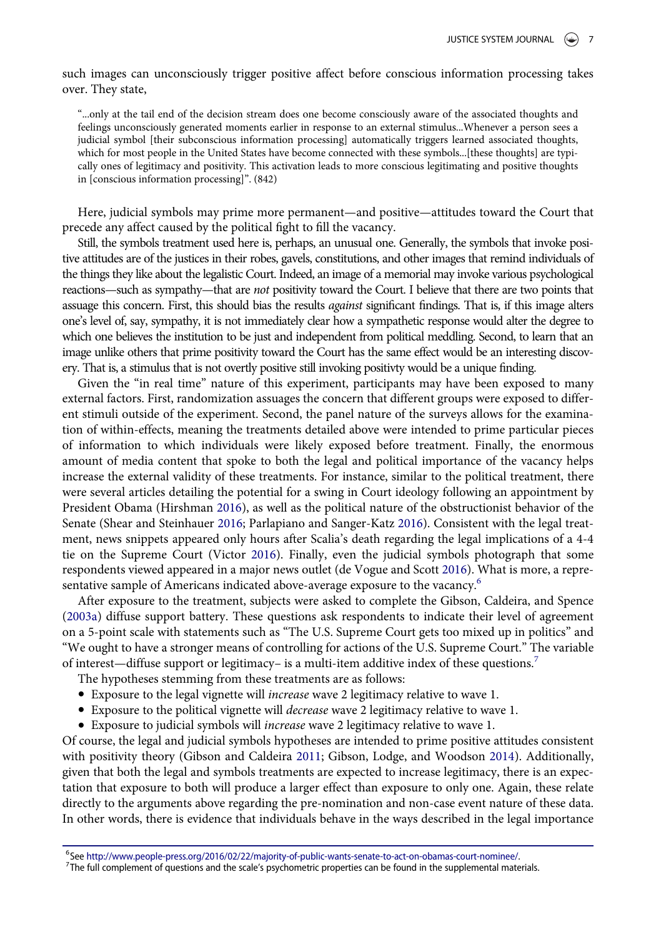such images can unconsciously trigger positive affect before conscious information processing takes over. They state,

"...only at the tail end of the decision stream does one become consciously aware of the associated thoughts and feelings unconsciously generated moments earlier in response to an external stimulus...Whenever a person sees a judicial symbol [their subconscious information processing] automatically triggers learned associated thoughts, which for most people in the United States have become connected with these symbols...[these thoughts] are typically ones of legitimacy and positivity. This activation leads to more conscious legitimating and positive thoughts in [conscious information processing]". (842)

Here, judicial symbols may prime more permanent—and positive—attitudes toward the Court that precede any affect caused by the political fight to fill the vacancy.

Still, the symbols treatment used here is, perhaps, an unusual one. Generally, the symbols that invoke positive attitudes are of the justices in their robes, gavels, constitutions, and other images that remind individuals of the things they like about the legalistic Court. Indeed, an image of a memorial may invoke various psychological reactions—such as sympathy—that are not positivity toward the Court. I believe that there are two points that assuage this concern. First, this should bias the results *against* significant findings. That is, if this image alters one's level of, say, sympathy, it is not immediately clear how a sympathetic response would alter the degree to which one believes the institution to be just and independent from political meddling. Second, to learn that an image unlike others that prime positivity toward the Court has the same effect would be an interesting discovery. That is, a stimulus that is not overtly positive still invoking positivty would be a unique finding.

Given the "in real time" nature of this experiment, participants may have been exposed to many external factors. First, randomization assuages the concern that different groups were exposed to different stimuli outside of the experiment. Second, the panel nature of the surveys allows for the examination of within-effects, meaning the treatments detailed above were intended to prime particular pieces of information to which individuals were likely exposed before treatment. Finally, the enormous amount of media content that spoke to both the legal and political importance of the vacancy helps increase the external validity of these treatments. For instance, similar to the political treatment, there were several articles detailing the potential for a swing in Court ideology following an appointment by President Obama (Hirshman [2016\)](#page-16-19), as well as the political nature of the obstructionist behavior of the Senate (Shear and Steinhauer [2016](#page-17-8); Parlapiano and Sanger-Katz [2016\)](#page-17-9). Consistent with the legal treatment, news snippets appeared only hours after Scalia's death regarding the legal implications of a 4-4 tie on the Supreme Court (Victor [2016](#page-17-10)). Finally, even the judicial symbols photograph that some respondents viewed appeared in a major news outlet (de Vogue and Scott [2016\)](#page-16-20). What is more, a repre-sentative sample of Americans indicated above-average exposure to the vacancy.<sup>[6](#page-7-0)</sup>

<span id="page-7-6"></span><span id="page-7-5"></span><span id="page-7-4"></span><span id="page-7-2"></span>After exposure to the treatment, subjects were asked to complete the Gibson, Caldeira, and Spence [\(2003a\)](#page-16-18) diffuse support battery. These questions ask respondents to indicate their level of agreement on a 5-point scale with statements such as "The U.S. Supreme Court gets too mixed up in politics" and "We ought to have a stronger means of controlling for actions of the U.S. Supreme Court." The variable of interest—diffuse support or legitimacy– is a multi-item additive index of these questions.[7](#page-7-1)

The hypotheses stemming from these treatments are as follows:

- Exposure to the legal vignette will increase wave 2 legitimacy relative to wave 1.
- Exposure to the political vignette will decrease wave 2 legitimacy relative to wave 1.
- Exposure to judicial symbols will increase wave 2 legitimacy relative to wave 1.

<span id="page-7-3"></span>Of course, the legal and judicial symbols hypotheses are intended to prime positive attitudes consistent with positivity theory (Gibson and Caldeira [2011;](#page-16-21) Gibson, Lodge, and Woodson [2014](#page-16-7)). Additionally, given that both the legal and symbols treatments are expected to increase legitimacy, there is an expectation that exposure to both will produce a larger effect than exposure to only one. Again, these relate directly to the arguments above regarding the pre-nomination and non-case event nature of these data. In other words, there is evidence that individuals behave in the ways described in the legal importance

<span id="page-7-0"></span><sup>&</sup>lt;sup>6</sup>See <http://www.people-press.org/2016/02/22/majority-of-public-wants-senate-to-act-on-obamas-court-nominee/>.<br><sup>7</sup>The full complement of questions and the scale's psychometric properties can be found in the supplemental ma

<span id="page-7-1"></span> $^7$ The full complement of questions and the scale's psychometric properties can be found in the supplemental materials.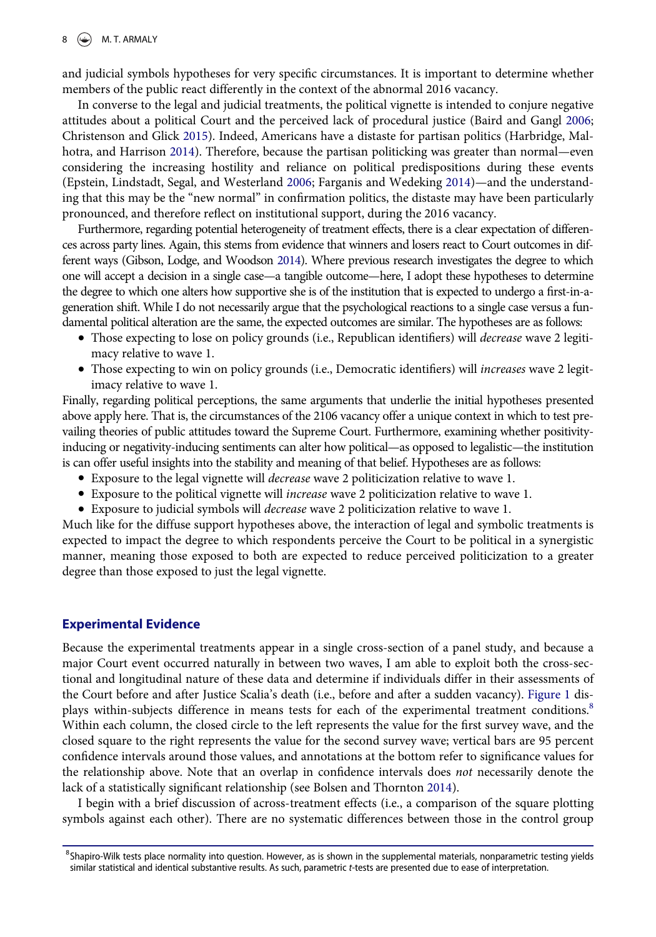and judicial symbols hypotheses for very specific circumstances. It is important to determine whether members of the public react differently in the context of the abnormal 2016 vacancy.

<span id="page-8-2"></span>In converse to the legal and judicial treatments, the political vignette is intended to conjure negative attitudes about a political Court and the perceived lack of procedural justice (Baird and Gangl [2006;](#page-15-1) Christenson and Glick [2015\)](#page-16-10). Indeed, Americans have a distaste for partisan politics (Harbridge, Malhotra, and Harrison [2014\)](#page-16-22). Therefore, because the partisan politicking was greater than normal—even considering the increasing hostility and reliance on political predispositions during these events (Epstein, Lindstadt, Segal, and Westerland [2006;](#page-16-11) Farganis and Wedeking [2014\)](#page-16-4)—and the understanding that this may be the "new normal" in confirmation politics, the distaste may have been particularly pronounced, and therefore reflect on institutional support, during the 2016 vacancy.

Furthermore, regarding potential heterogeneity of treatment effects, there is a clear expectation of differences across party lines. Again, this stems from evidence that winners and losers react to Court outcomes in different ways (Gibson, Lodge, and Woodson [2014\)](#page-16-7). Where previous research investigates the degree to which one will accept a decision in a single case—a tangible outcome—here, I adopt these hypotheses to determine the degree to which one alters how supportive she is of the institution that is expected to undergo a first-in-ageneration shift. While I do not necessarily argue that the psychological reactions to a single case versus a fundamental political alteration are the same, the expected outcomes are similar. The hypotheses are as follows:

- Those expecting to lose on policy grounds (i.e., Republican identifiers) will *decrease* wave 2 legitimacy relative to wave 1.
- Those expecting to win on policy grounds (i.e., Democratic identifiers) will increases wave 2 legitimacy relative to wave 1.

Finally, regarding political perceptions, the same arguments that underlie the initial hypotheses presented above apply here. That is, the circumstances of the 2106 vacancy offer a unique context in which to test prevailing theories of public attitudes toward the Supreme Court. Furthermore, examining whether positivityinducing or negativity-inducing sentiments can alter how political—as opposed to legalistic—the institution is can offer useful insights into the stability and meaning of that belief. Hypotheses are as follows:

- Exposure to the legal vignette will decrease wave 2 politicization relative to wave 1.
- Exposure to the political vignette will increase wave 2 politicization relative to wave 1.
- Exposure to judicial symbols will decrease wave 2 politicization relative to wave 1.

Much like for the diffuse support hypotheses above, the interaction of legal and symbolic treatments is expected to impact the degree to which respondents perceive the Court to be political in a synergistic manner, meaning those exposed to both are expected to reduce perceived politicization to a greater degree than those exposed to just the legal vignette.

# Experimental Evidence

Because the experimental treatments appear in a single cross-section of a panel study, and because a major Court event occurred naturally in between two waves, I am able to exploit both the cross-sectional and longitudinal nature of these data and determine if individuals differ in their assessments of the Court before and after Justice Scalia's death (i.e., before and after a sudden vacancy). [Figure 1](#page-9-0) dis-plays within-subjects difference in means tests for each of the experimental treatment conditions.<sup>[8](#page-8-0)</sup> Within each column, the closed circle to the left represents the value for the first survey wave, and the closed square to the right represents the value for the second survey wave; vertical bars are 95 percent confidence intervals around those values, and annotations at the bottom refer to significance values for the relationship above. Note that an overlap in confidence intervals does not necessarily denote the lack of a statistically significant relationship (see Bolsen and Thornton [2014](#page-16-23)).

<span id="page-8-1"></span>I begin with a brief discussion of across-treatment effects (i.e., a comparison of the square plotting symbols against each other). There are no systematic differences between those in the control group

<span id="page-8-0"></span><sup>&</sup>lt;sup>8</sup>Shapiro-Wilk tests place normality into question. However, as is shown in the supplemental materials, nonparametric testing yields similar statistical and identical substantive results. As such, parametric t-tests are presented due to ease of interpretation.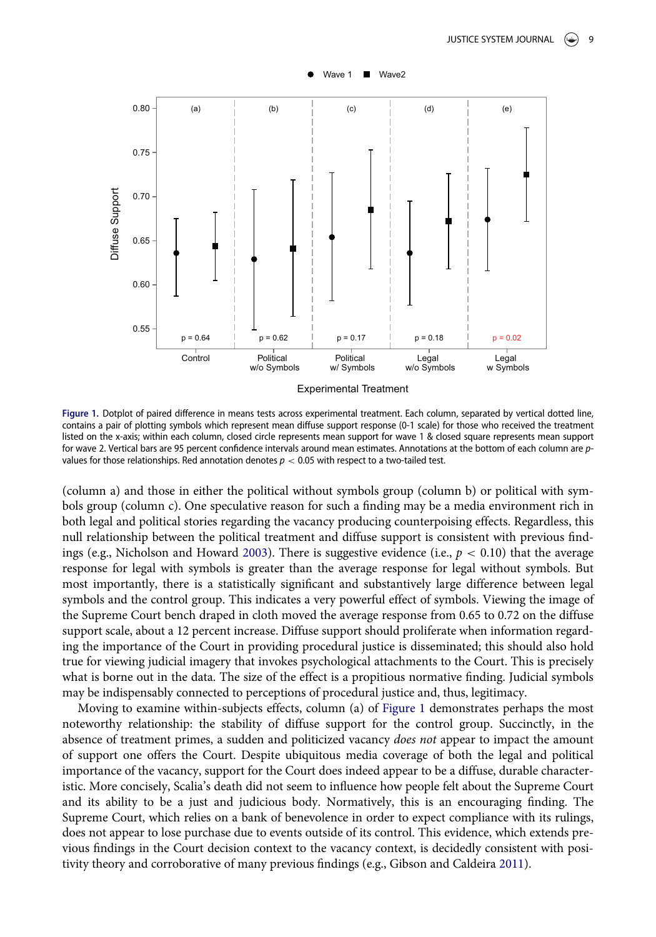<span id="page-9-0"></span>

Experimental Treatment

Figure 1. Dotplot of paired difference in means tests across experimental treatment. Each column, separated by vertical dotted line, contains a pair of plotting symbols which represent mean diffuse support response (0-1 scale) for those who received the treatment listed on the x-axis; within each column, closed circle represents mean support for wave 1 & closed square represents mean support for wave 2. Vertical bars are 95 percent confidence intervals around mean estimates. Annotations at the bottom of each column are pvalues for those relationships. Red annotation denotes  $p < 0.05$  with respect to a two-tailed test.

<span id="page-9-1"></span>(column a) and those in either the political without symbols group (column b) or political with symbols group (column c). One speculative reason for such a finding may be a media environment rich in both legal and political stories regarding the vacancy producing counterpoising effects. Regardless, this null relationship between the political treatment and diffuse support is consistent with previous find-ings (e.g., Nicholson and Howard [2003\)](#page-16-24). There is suggestive evidence (i.e.,  $p < 0.10$ ) that the average response for legal with symbols is greater than the average response for legal without symbols. But most importantly, there is a statistically significant and substantively large difference between legal symbols and the control group. This indicates a very powerful effect of symbols. Viewing the image of the Supreme Court bench draped in cloth moved the average response from 0.65 to 0.72 on the diffuse support scale, about a 12 percent increase. Diffuse support should proliferate when information regarding the importance of the Court in providing procedural justice is disseminated; this should also hold true for viewing judicial imagery that invokes psychological attachments to the Court. This is precisely what is borne out in the data. The size of the effect is a propitious normative finding. Judicial symbols may be indispensably connected to perceptions of procedural justice and, thus, legitimacy.

Moving to examine within-subjects effects, column (a) of [Figure 1](#page-9-0) demonstrates perhaps the most noteworthy relationship: the stability of diffuse support for the control group. Succinctly, in the absence of treatment primes, a sudden and politicized vacancy *does not* appear to impact the amount of support one offers the Court. Despite ubiquitous media coverage of both the legal and political importance of the vacancy, support for the Court does indeed appear to be a diffuse, durable characteristic. More concisely, Scalia's death did not seem to influence how people felt about the Supreme Court and its ability to be a just and judicious body. Normatively, this is an encouraging finding. The Supreme Court, which relies on a bank of benevolence in order to expect compliance with its rulings, does not appear to lose purchase due to events outside of its control. This evidence, which extends previous findings in the Court decision context to the vacancy context, is decidedly consistent with positivity theory and corroborative of many previous findings (e.g., Gibson and Caldeira [2011\)](#page-16-21).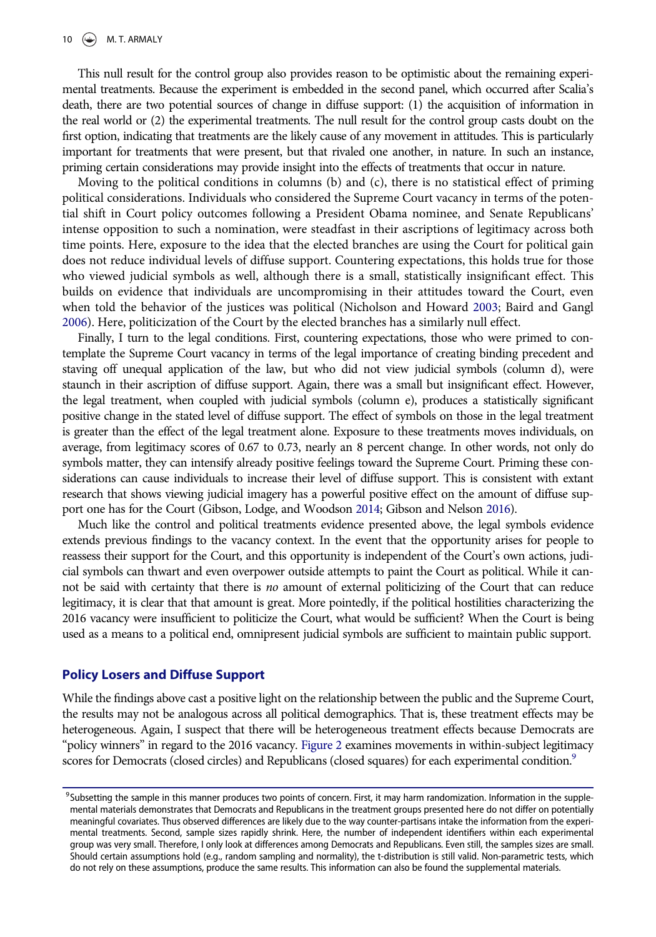This null result for the control group also provides reason to be optimistic about the remaining experimental treatments. Because the experiment is embedded in the second panel, which occurred after Scalia's death, there are two potential sources of change in diffuse support: (1) the acquisition of information in the real world or (2) the experimental treatments. The null result for the control group casts doubt on the first option, indicating that treatments are the likely cause of any movement in attitudes. This is particularly important for treatments that were present, but that rivaled one another, in nature. In such an instance, priming certain considerations may provide insight into the effects of treatments that occur in nature.

Moving to the political conditions in columns (b) and (c), there is no statistical effect of priming political considerations. Individuals who considered the Supreme Court vacancy in terms of the potential shift in Court policy outcomes following a President Obama nominee, and Senate Republicans' intense opposition to such a nomination, were steadfast in their ascriptions of legitimacy across both time points. Here, exposure to the idea that the elected branches are using the Court for political gain does not reduce individual levels of diffuse support. Countering expectations, this holds true for those who viewed judicial symbols as well, although there is a small, statistically insignificant effect. This builds on evidence that individuals are uncompromising in their attitudes toward the Court, even when told the behavior of the justices was political (Nicholson and Howard [2003;](#page-16-24) Baird and Gangl [2006\)](#page-15-1). Here, politicization of the Court by the elected branches has a similarly null effect.

Finally, I turn to the legal conditions. First, countering expectations, those who were primed to contemplate the Supreme Court vacancy in terms of the legal importance of creating binding precedent and staving off unequal application of the law, but who did not view judicial symbols (column d), were staunch in their ascription of diffuse support. Again, there was a small but insignificant effect. However, the legal treatment, when coupled with judicial symbols (column e), produces a statistically significant positive change in the stated level of diffuse support. The effect of symbols on those in the legal treatment is greater than the effect of the legal treatment alone. Exposure to these treatments moves individuals, on average, from legitimacy scores of 0.67 to 0.73, nearly an 8 percent change. In other words, not only do symbols matter, they can intensify already positive feelings toward the Supreme Court. Priming these considerations can cause individuals to increase their level of diffuse support. This is consistent with extant research that shows viewing judicial imagery has a powerful positive effect on the amount of diffuse support one has for the Court (Gibson, Lodge, and Woodson [2014;](#page-16-7) Gibson and Nelson [2016](#page-16-8)).

Much like the control and political treatments evidence presented above, the legal symbols evidence extends previous findings to the vacancy context. In the event that the opportunity arises for people to reassess their support for the Court, and this opportunity is independent of the Court's own actions, judicial symbols can thwart and even overpower outside attempts to paint the Court as political. While it cannot be said with certainty that there is no amount of external politicizing of the Court that can reduce legitimacy, it is clear that that amount is great. More pointedly, if the political hostilities characterizing the 2016 vacancy were insufficient to politicize the Court, what would be sufficient? When the Court is being used as a means to a political end, omnipresent judicial symbols are sufficient to maintain public support.

#### Policy Losers and Diffuse Support

While the findings above cast a positive light on the relationship between the public and the Supreme Court, the results may not be analogous across all political demographics. That is, these treatment effects may be heterogeneous. Again, I suspect that there will be heterogeneous treatment effects because Democrats are "policy winners" in regard to the 2016 vacancy. [Figure 2](#page-11-0) examines movements in within-subject legitimacy scores for Democrats (closed circles) and Republicans (closed squares) for each experimental condition.<sup>9</sup>

<span id="page-10-0"></span><sup>&</sup>lt;sup>9</sup>Subsetting the sample in this manner produces two points of concern. First, it may harm randomization. Information in the supplemental materials demonstrates that Democrats and Republicans in the treatment groups presented here do not differ on potentially meaningful covariates. Thus observed differences are likely due to the way counter-partisans intake the information from the experimental treatments. Second, sample sizes rapidly shrink. Here, the number of independent identifiers within each experimental group was very small. Therefore, I only look at differences among Democrats and Republicans. Even still, the samples sizes are small. Should certain assumptions hold (e.g., random sampling and normality), the t-distribution is still valid. Non-parametric tests, which do not rely on these assumptions, produce the same results. This information can also be found the supplemental materials.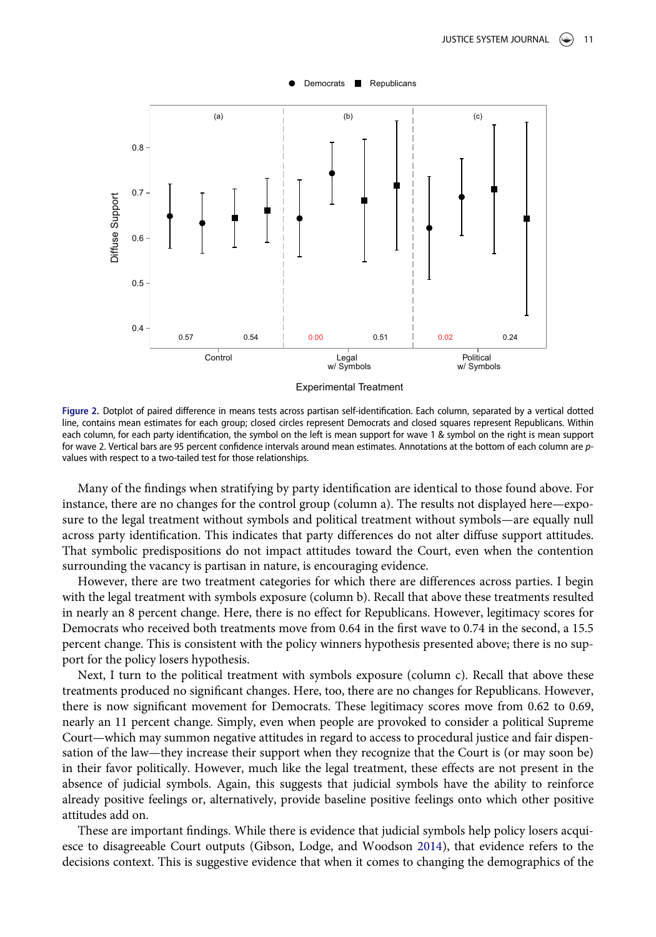<span id="page-11-0"></span>



Figure 2. Dotplot of paired difference in means tests across partisan self-identification. Each column, separated by a vertical dotted line, contains mean estimates for each group; closed circles represent Democrats and closed squares represent Republicans. Within each column, for each party identification, the symbol on the left is mean support for wave 1 & symbol on the right is mean support for wave 2. Vertical bars are 95 percent confidence intervals around mean estimates. Annotations at the bottom of each column are pvalues with respect to a two-tailed test for those relationships.

Many of the findings when stratifying by party identification are identical to those found above. For instance, there are no changes for the control group (column a). The results not displayed here—exposure to the legal treatment without symbols and political treatment without symbols—are equally null across party identification. This indicates that party differences do not alter diffuse support attitudes. That symbolic predispositions do not impact attitudes toward the Court, even when the contention surrounding the vacancy is partisan in nature, is encouraging evidence.

However, there are two treatment categories for which there are differences across parties. I begin with the legal treatment with symbols exposure (column b). Recall that above these treatments resulted in nearly an 8 percent change. Here, there is no effect for Republicans. However, legitimacy scores for Democrats who received both treatments move from 0.64 in the first wave to 0.74 in the second, a 15.5 percent change. This is consistent with the policy winners hypothesis presented above; there is no support for the policy losers hypothesis.

Next, I turn to the political treatment with symbols exposure (column c). Recall that above these treatments produced no significant changes. Here, too, there are no changes for Republicans. However, there is now significant movement for Democrats. These legitimacy scores move from 0.62 to 0.69, nearly an 11 percent change. Simply, even when people are provoked to consider a political Supreme Court—which may summon negative attitudes in regard to access to procedural justice and fair dispensation of the law—they increase their support when they recognize that the Court is (or may soon be) in their favor politically. However, much like the legal treatment, these effects are not present in the absence of judicial symbols. Again, this suggests that judicial symbols have the ability to reinforce already positive feelings or, alternatively, provide baseline positive feelings onto which other positive attitudes add on.

These are important findings. While there is evidence that judicial symbols help policy losers acquiesce to disagreeable Court outputs (Gibson, Lodge, and Woodson [2014\)](#page-16-7), that evidence refers to the decisions context. This is suggestive evidence that when it comes to changing the demographics of the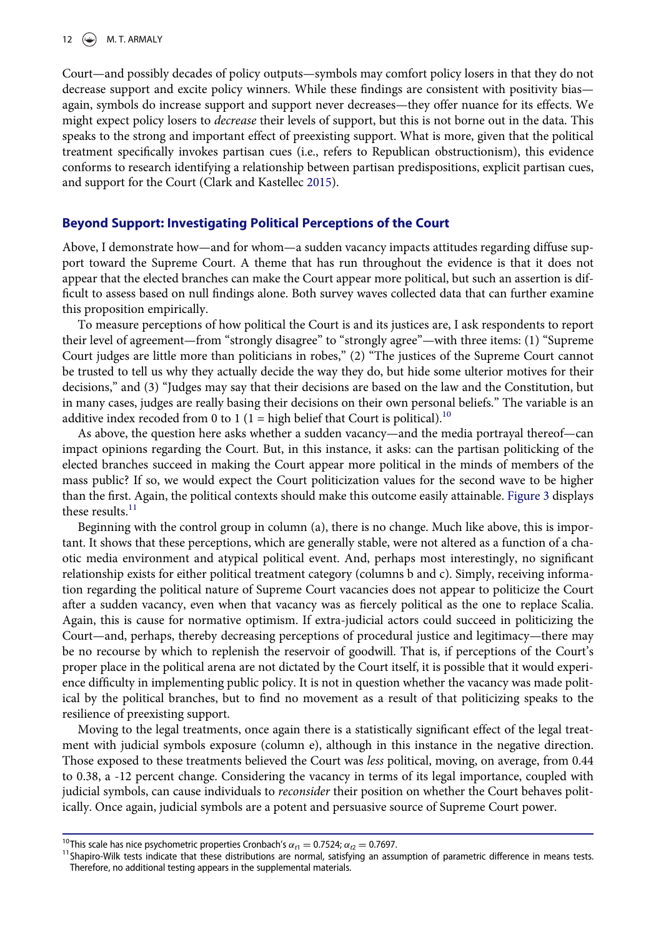Court—and possibly decades of policy outputs—symbols may comfort policy losers in that they do not decrease support and excite policy winners. While these findings are consistent with positivity bias again, symbols do increase support and support never decreases—they offer nuance for its effects. We might expect policy losers to decrease their levels of support, but this is not borne out in the data. This speaks to the strong and important effect of preexisting support. What is more, given that the political treatment specifically invokes partisan cues (i.e., refers to Republican obstructionism), this evidence conforms to research identifying a relationship between partisan predispositions, explicit partisan cues, and support for the Court (Clark and Kastellec [2015\)](#page-16-25).

# <span id="page-12-2"></span>Beyond Support: Investigating Political Perceptions of the Court

Above, I demonstrate how—and for whom—a sudden vacancy impacts attitudes regarding diffuse support toward the Supreme Court. A theme that has run throughout the evidence is that it does not appear that the elected branches can make the Court appear more political, but such an assertion is difficult to assess based on null findings alone. Both survey waves collected data that can further examine this proposition empirically.

To measure perceptions of how political the Court is and its justices are, I ask respondents to report their level of agreement—from "strongly disagree" to "strongly agree"—with three items: (1) "Supreme Court judges are little more than politicians in robes," (2) "The justices of the Supreme Court cannot be trusted to tell us why they actually decide the way they do, but hide some ulterior motives for their decisions," and (3) "Judges may say that their decisions are based on the law and the Constitution, but in many cases, judges are really basing their decisions on their own personal beliefs." The variable is an additive index recoded from 0 to 1 (1 = high belief that Court is political).<sup>[10](#page-12-0)</sup>

As above, the question here asks whether a sudden vacancy—and the media portrayal thereof—can impact opinions regarding the Court. But, in this instance, it asks: can the partisan politicking of the elected branches succeed in making the Court appear more political in the minds of members of the mass public? If so, we would expect the Court politicization values for the second wave to be higher than the first. Again, the political contexts should make this outcome easily attainable. [Figure 3](#page-13-0) displays these results. $11$ 

Beginning with the control group in column (a), there is no change. Much like above, this is important. It shows that these perceptions, which are generally stable, were not altered as a function of a chaotic media environment and atypical political event. And, perhaps most interestingly, no significant relationship exists for either political treatment category (columns b and c). Simply, receiving information regarding the political nature of Supreme Court vacancies does not appear to politicize the Court after a sudden vacancy, even when that vacancy was as fiercely political as the one to replace Scalia. Again, this is cause for normative optimism. If extra-judicial actors could succeed in politicizing the Court—and, perhaps, thereby decreasing perceptions of procedural justice and legitimacy—there may be no recourse by which to replenish the reservoir of goodwill. That is, if perceptions of the Court's proper place in the political arena are not dictated by the Court itself, it is possible that it would experience difficulty in implementing public policy. It is not in question whether the vacancy was made political by the political branches, but to find no movement as a result of that politicizing speaks to the resilience of preexisting support.

Moving to the legal treatments, once again there is a statistically significant effect of the legal treatment with judicial symbols exposure (column e), although in this instance in the negative direction. Those exposed to these treatments believed the Court was less political, moving, on average, from 0.44 to 0.38, a -12 percent change. Considering the vacancy in terms of its legal importance, coupled with judicial symbols, can cause individuals to *reconsider* their position on whether the Court behaves politically. Once again, judicial symbols are a potent and persuasive source of Supreme Court power.

<span id="page-12-1"></span>

<span id="page-12-0"></span><sup>&</sup>lt;sup>10</sup>This scale has nice psychometric properties Cronbach's  $\alpha_{t1} = 0.7524$ ;  $\alpha_{t2} = 0.7697$ .  $\cdots$  parametric difference in means tests. 11Shapiro-Wilk tests indicate that these distributions are normal, satisfying an a Therefore, no additional testing appears in the supplemental materials.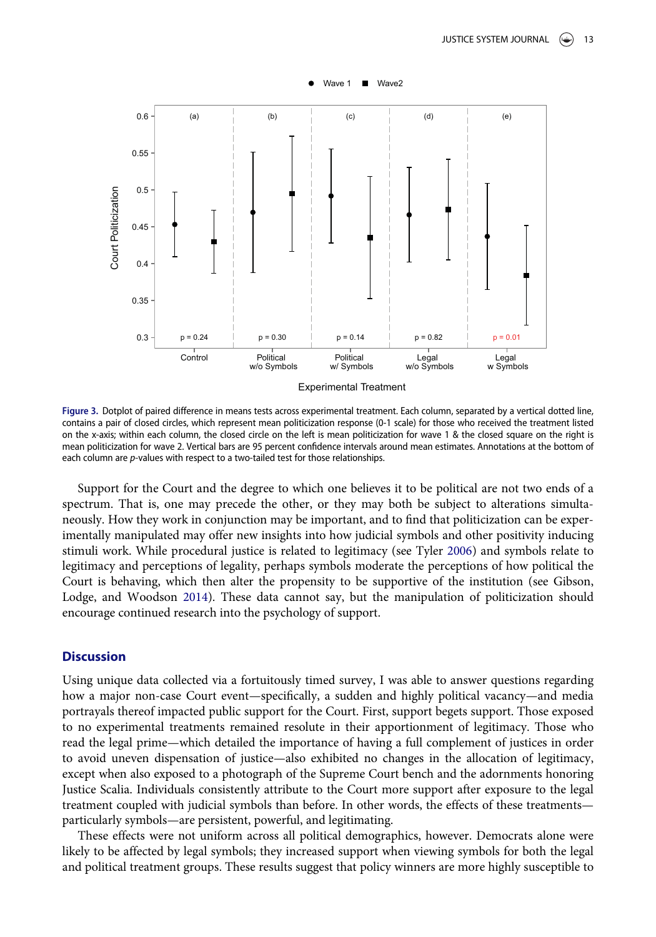<span id="page-13-0"></span>

 $\bullet$ 

Experimental Treatment

Figure 3. Dotplot of paired difference in means tests across experimental treatment. Each column, separated by a vertical dotted line, contains a pair of closed circles, which represent mean politicization response (0-1 scale) for those who received the treatment listed on the x-axis; within each column, the closed circle on the left is mean politicization for wave 1 & the closed square on the right is mean politicization for wave 2. Vertical bars are 95 percent confidence intervals around mean estimates. Annotations at the bottom of each column are p-values with respect to a two-tailed test for those relationships.

Support for the Court and the degree to which one believes it to be political are not two ends of a spectrum. That is, one may precede the other, or they may both be subject to alterations simultaneously. How they work in conjunction may be important, and to find that politicization can be experimentally manipulated may offer new insights into how judicial symbols and other positivity inducing stimuli work. While procedural justice is related to legitimacy (see Tyler [2006\)](#page-17-0) and symbols relate to legitimacy and perceptions of legality, perhaps symbols moderate the perceptions of how political the Court is behaving, which then alter the propensity to be supportive of the institution (see Gibson, Lodge, and Woodson [2014\)](#page-16-7). These data cannot say, but the manipulation of politicization should encourage continued research into the psychology of support.

### **Discussion**

Using unique data collected via a fortuitously timed survey, I was able to answer questions regarding how a major non-case Court event—specifically, a sudden and highly political vacancy—and media portrayals thereof impacted public support for the Court. First, support begets support. Those exposed to no experimental treatments remained resolute in their apportionment of legitimacy. Those who read the legal prime—which detailed the importance of having a full complement of justices in order to avoid uneven dispensation of justice—also exhibited no changes in the allocation of legitimacy, except when also exposed to a photograph of the Supreme Court bench and the adornments honoring Justice Scalia. Individuals consistently attribute to the Court more support after exposure to the legal treatment coupled with judicial symbols than before. In other words, the effects of these treatments particularly symbols—are persistent, powerful, and legitimating.

These effects were not uniform across all political demographics, however. Democrats alone were likely to be affected by legal symbols; they increased support when viewing symbols for both the legal and political treatment groups. These results suggest that policy winners are more highly susceptible to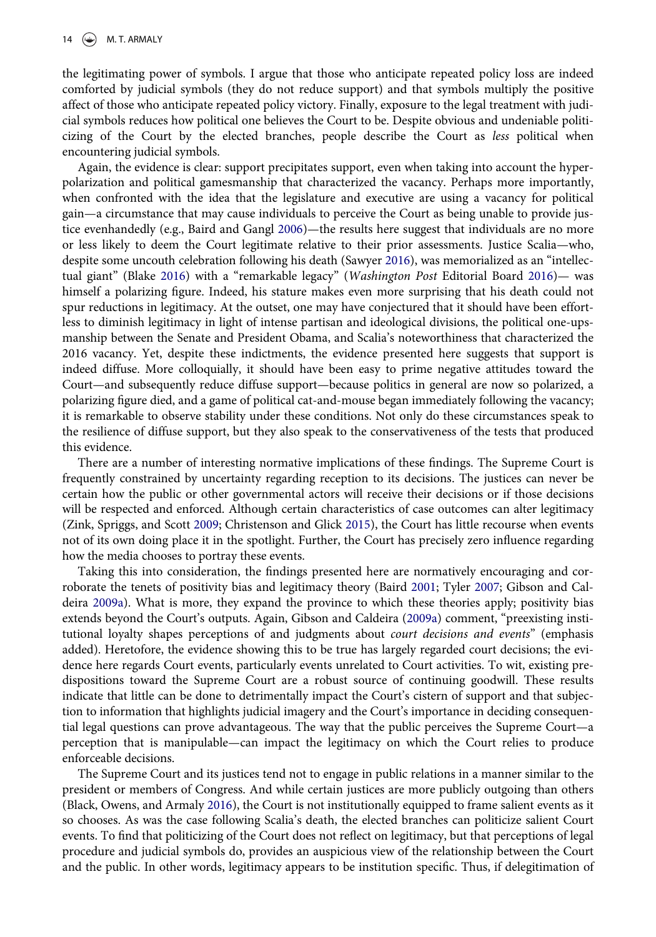the legitimating power of symbols. I argue that those who anticipate repeated policy loss are indeed comforted by judicial symbols (they do not reduce support) and that symbols multiply the positive affect of those who anticipate repeated policy victory. Finally, exposure to the legal treatment with judicial symbols reduces how political one believes the Court to be. Despite obvious and undeniable politicizing of the Court by the elected branches, people describe the Court as less political when encountering judicial symbols.

<span id="page-14-3"></span><span id="page-14-2"></span>Again, the evidence is clear: support precipitates support, even when taking into account the hyperpolarization and political gamesmanship that characterized the vacancy. Perhaps more importantly, when confronted with the idea that the legislature and executive are using a vacancy for political gain—a circumstance that may cause individuals to perceive the Court as being unable to provide justice evenhandedly (e.g., Baird and Gangl [2006\)](#page-15-1)—the results here suggest that individuals are no more or less likely to deem the Court legitimate relative to their prior assessments. Justice Scalia—who, despite some uncouth celebration following his death (Sawyer [2016](#page-17-11)), was memorialized as an "intellectual giant" (Blake [2016\)](#page-15-3) with a "remarkable legacy" (Washington Post Editorial Board [2016\)](#page-16-26)— was himself a polarizing figure. Indeed, his stature makes even more surprising that his death could not spur reductions in legitimacy. At the outset, one may have conjectured that it should have been effortless to diminish legitimacy in light of intense partisan and ideological divisions, the political one-upsmanship between the Senate and President Obama, and Scalia's noteworthiness that characterized the 2016 vacancy. Yet, despite these indictments, the evidence presented here suggests that support is indeed diffuse. More colloquially, it should have been easy to prime negative attitudes toward the Court—and subsequently reduce diffuse support—because politics in general are now so polarized, a polarizing figure died, and a game of political cat-and-mouse began immediately following the vacancy; it is remarkable to observe stability under these conditions. Not only do these circumstances speak to the resilience of diffuse support, but they also speak to the conservativeness of the tests that produced this evidence.

There are a number of interesting normative implications of these findings. The Supreme Court is frequently constrained by uncertainty regarding reception to its decisions. The justices can never be certain how the public or other governmental actors will receive their decisions or if those decisions will be respected and enforced. Although certain characteristics of case outcomes can alter legitimacy (Zink, Spriggs, and Scott [2009](#page-17-2); Christenson and Glick [2015\)](#page-16-10), the Court has little recourse when events not of its own doing place it in the spotlight. Further, the Court has precisely zero influence regarding how the media chooses to portray these events.

<span id="page-14-0"></span>Taking this into consideration, the findings presented here are normatively encouraging and corroborate the tenets of positivity bias and legitimacy theory (Baird [2001](#page-15-4); Tyler [2007;](#page-17-12) Gibson and Caldeira [2009a\)](#page-16-2). What is more, they expand the province to which these theories apply; positivity bias extends beyond the Court's outputs. Again, Gibson and Caldeira [\(2009a\)](#page-16-2) comment, "preexisting institutional loyalty shapes perceptions of and judgments about court decisions and events" (emphasis added). Heretofore, the evidence showing this to be true has largely regarded court decisions; the evidence here regards Court events, particularly events unrelated to Court activities. To wit, existing predispositions toward the Supreme Court are a robust source of continuing goodwill. These results indicate that little can be done to detrimentally impact the Court's cistern of support and that subjection to information that highlights judicial imagery and the Court's importance in deciding consequential legal questions can prove advantageous. The way that the public perceives the Supreme Court—a perception that is manipulable—can impact the legitimacy on which the Court relies to produce enforceable decisions.

<span id="page-14-1"></span>The Supreme Court and its justices tend not to engage in public relations in a manner similar to the president or members of Congress. And while certain justices are more publicly outgoing than others (Black, Owens, and Armaly [2016](#page-15-5)), the Court is not institutionally equipped to frame salient events as it so chooses. As was the case following Scalia's death, the elected branches can politicize salient Court events. To find that politicizing of the Court does not reflect on legitimacy, but that perceptions of legal procedure and judicial symbols do, provides an auspicious view of the relationship between the Court and the public. In other words, legitimacy appears to be institution specific. Thus, if delegitimation of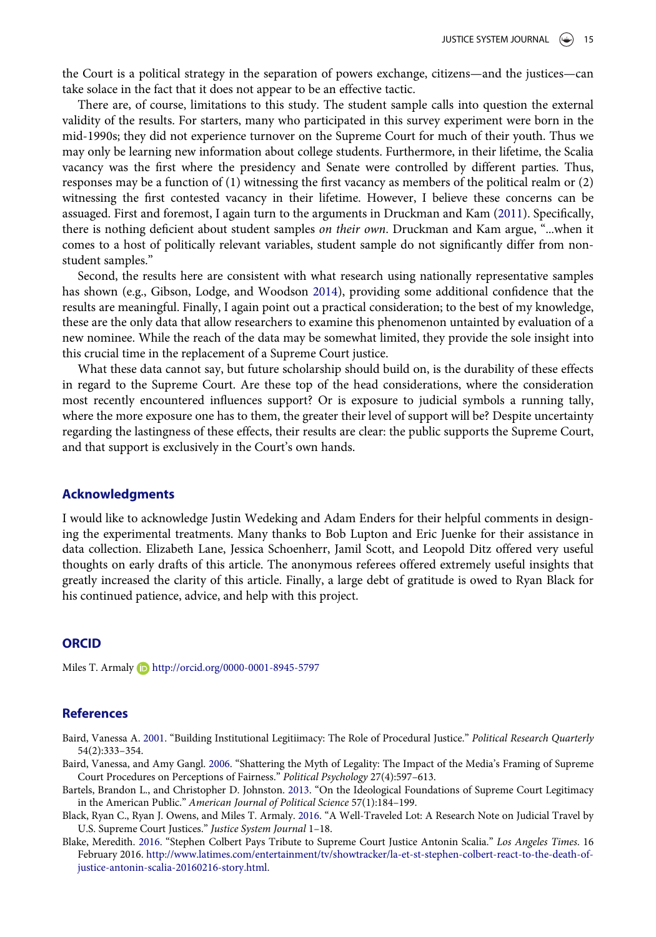the Court is a political strategy in the separation of powers exchange, citizens—and the justices—can take solace in the fact that it does not appear to be an effective tactic.

There are, of course, limitations to this study. The student sample calls into question the external validity of the results. For starters, many who participated in this survey experiment were born in the mid-1990s; they did not experience turnover on the Supreme Court for much of their youth. Thus we may only be learning new information about college students. Furthermore, in their lifetime, the Scalia vacancy was the first where the presidency and Senate were controlled by different parties. Thus, responses may be a function of (1) witnessing the first vacancy as members of the political realm or (2) witnessing the first contested vacancy in their lifetime. However, I believe these concerns can be assuaged. First and foremost, I again turn to the arguments in Druckman and Kam ([2011\)](#page-16-17). Specifically, there is nothing deficient about student samples on their own. Druckman and Kam argue, "...when it comes to a host of politically relevant variables, student sample do not significantly differ from nonstudent samples."

Second, the results here are consistent with what research using nationally representative samples has shown (e.g., Gibson, Lodge, and Woodson [2014](#page-16-7)), providing some additional confidence that the results are meaningful. Finally, I again point out a practical consideration; to the best of my knowledge, these are the only data that allow researchers to examine this phenomenon untainted by evaluation of a new nominee. While the reach of the data may be somewhat limited, they provide the sole insight into this crucial time in the replacement of a Supreme Court justice.

What these data cannot say, but future scholarship should build on, is the durability of these effects in regard to the Supreme Court. Are these top of the head considerations, where the consideration most recently encountered influences support? Or is exposure to judicial symbols a running tally, where the more exposure one has to them, the greater their level of support will be? Despite uncertainty regarding the lastingness of these effects, their results are clear: the public supports the Supreme Court, and that support is exclusively in the Court's own hands.

# Acknowledgments

I would like to acknowledge Justin Wedeking and Adam Enders for their helpful comments in designing the experimental treatments. Many thanks to Bob Lupton and Eric Juenke for their assistance in data collection. Elizabeth Lane, Jessica Schoenherr, Jamil Scott, and Leopold Ditz offered very useful thoughts on early drafts of this article. The anonymous referees offered extremely useful insights that greatly increased the clarity of this article. Finally, a large debt of gratitude is owed to Ryan Black for his continued patience, advice, and help with this project.

#### **ORCID**

<span id="page-15-0"></span>Miles T. Armaly **b** <http://orcid.org/0000-0001-8945-5797>

# References

<span id="page-15-4"></span>Baird, Vanessa A. [2001](#page-14-0). "Building Institutional Legitiimacy: The Role of Procedural Justice." Political Research Quarterly 54(2):333–354.

- <span id="page-15-1"></span>Baird, Vanessa, and Amy Gangl. [2006.](#page-4-2) "Shattering the Myth of Legality: The Impact of the Media's Framing of Supreme Court Procedures on Perceptions of Fairness." Political Psychology 27(4):597–613.
- <span id="page-15-2"></span>Bartels, Brandon L., and Christopher D. Johnston. [2013.](#page-5-1) "On the Ideological Foundations of Supreme Court Legitimacy in the American Public." American Journal of Political Science 57(1):184–199.
- <span id="page-15-5"></span>Black, Ryan C., Ryan J. Owens, and Miles T. Armaly. [2016](#page-14-1). "A Well-Traveled Lot: A Research Note on Judicial Travel by U.S. Supreme Court Justices." Justice System Journal 1–18.
- <span id="page-15-3"></span>Blake, Meredith. [2016.](#page-14-2) "Stephen Colbert Pays Tribute to Supreme Court Justice Antonin Scalia." Los Angeles Times. 16 February 2016. [http://www.latimes.com/entertainment/tv/showtracker/la-et-st-stephen-colbert-react-to-the-death-of](http://www.latimes.com/entertainment/tv/showtracker/la-et-st-stephen-colbert-react-to-the-death-of-justice-antonin-scalia-20160216-story.html)[justice-antonin-scalia-20160216-story.html](http://www.latimes.com/entertainment/tv/showtracker/la-et-st-stephen-colbert-react-to-the-death-of-justice-antonin-scalia-20160216-story.html).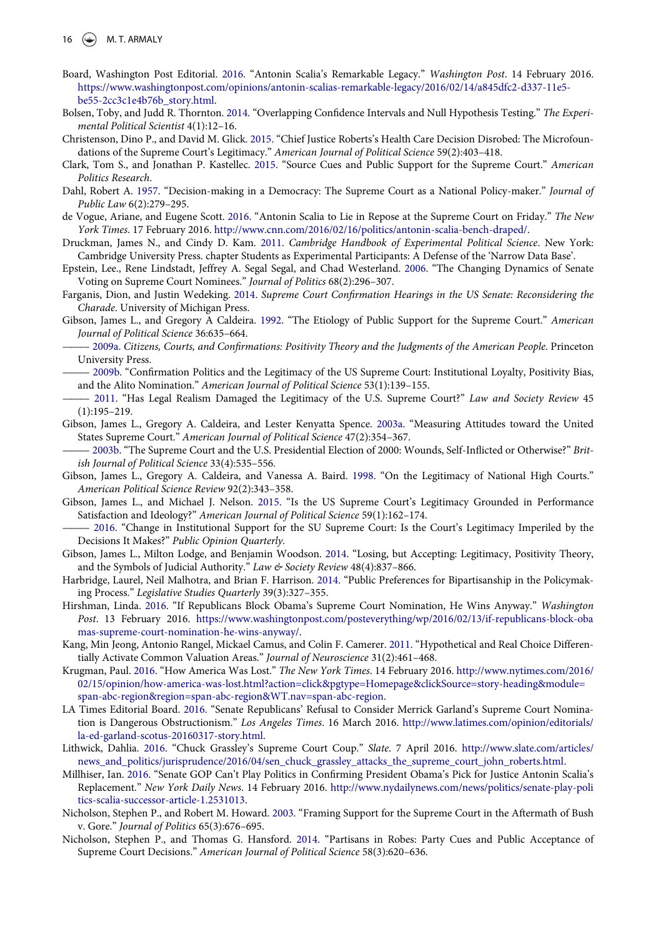- <span id="page-16-26"></span>Board, Washington Post Editorial. [2016.](#page-14-2) "Antonin Scalia's Remarkable Legacy." Washington Post. 14 February 2016. [https://www.washingtonpost.com/opinions/antonin-scalias-remarkable-legacy/2016/02/14/a845dfc2-d337-11e5](https://www.washingtonpost.com/opinions/antonin-scalias-remarkable-legacy/2016/02/14/a845dfc2-d337-11e5-be55-2cc3c1e4b76b_story.html) [be55-2cc3c1e4b76b\\_story.html.](https://www.washingtonpost.com/opinions/antonin-scalias-remarkable-legacy/2016/02/14/a845dfc2-d337-11e5-be55-2cc3c1e4b76b_story.html)
- <span id="page-16-23"></span>Bolsen, Toby, and Judd R. Thornton. [2014](#page-8-1). "Overlapping Confidence Intervals and Null Hypothesis Testing." The Experimental Political Scientist 4(1):12–16.
- <span id="page-16-10"></span>Christenson, Dino P., and David M. Glick. [2015.](#page-4-3) "Chief Justice Roberts's Health Care Decision Disrobed: The Microfoundations of the Supreme Court's Legitimacy." American Journal of Political Science 59(2):403-418.
- <span id="page-16-25"></span>Clark, Tom S., and Jonathan P. Kastellec. [2015.](#page-12-2) "Source Cues and Public Support for the Supreme Court." American Politics Research.
- <span id="page-16-13"></span>Dahl, Robert A. [1957](#page-4-4). "Decision-making in a Democracy: The Supreme Court as a National Policy-maker." Journal of Public Law 6(2):279–295.
- <span id="page-16-20"></span>de Vogue, Ariane, and Eugene Scott. [2016](#page-7-2). "Antonin Scalia to Lie in Repose at the Supreme Court on Friday." The New York Times. 17 February 2016. <http://www.cnn.com/2016/02/16/politics/antonin-scalia-bench-draped/>.
- <span id="page-16-17"></span>Druckman, James N., and Cindy D. Kam. [2011.](#page-6-1) Cambridge Handbook of Experimental Political Science. New York: Cambridge University Press. chapter Students as Experimental Participants: A Defense of the 'Narrow Data Base'.
- <span id="page-16-11"></span>Epstein, Lee., Rene Lindstadt, Jeffrey A. Segal Segal, and Chad Westerland. [2006](#page-4-5). "The Changing Dynamics of Senate Voting on Supreme Court Nominees." Journal of Politics 68(2):296–307.
- <span id="page-16-4"></span>Farganis, Dion, and Justin Wedeking. [2014](#page-2-1). Supreme Court Confirmation Hearings in the US Senate: Reconsidering the Charade. University of Michigan Press.
- <span id="page-16-2"></span><span id="page-16-0"></span>Gibson, James L., and Gregory A Caldeira. [1992](#page-1-0). "The Etiology of Public Support for the Supreme Court." American Journal of Political Science 36:635–664.
	- ——— [2009a](#page-1-1). Citizens, Courts, and Confirmations: Positivity Theory and the Judgments of the American People. Princeton University Press.
- <span id="page-16-3"></span>- [2009b.](#page-1-2) "Confirmation Politics and the Legitimacy of the US Supreme Court: Institutional Loyalty, Positivity Bias, and the Alito Nomination." American Journal of Political Science 53(1):139–155.
- <span id="page-16-21"></span>- [2011.](#page-7-3) "Has Legal Realism Damaged the Legitimacy of the U.S. Supreme Court?" Law and Society Review 45 (1):195–219.
- <span id="page-16-18"></span>Gibson, James L., Gregory A. Caldeira, and Lester Kenyatta Spence. [2003a](#page-6-2). "Measuring Attitudes toward the United States Supreme Court." American Journal of Political Science 47(2):354–367.
- <span id="page-16-1"></span>- [2003b](#page-1-1). "The Supreme Court and the U.S. Presidential Election of 2000: Wounds, Self-Inflicted or Otherwise?" British Journal of Political Science 33(4):535–556.
- <span id="page-16-6"></span>Gibson, James L., Gregory A. Caldeira, and Vanessa A. Baird. [1998.](#page-3-0) "On the Legitimacy of National High Courts." American Political Science Review 92(2):343–358.
- <span id="page-16-16"></span>Gibson, James L., and Michael J. Nelson. [2015](#page-5-1). "Is the US Supreme Court's Legitimacy Grounded in Performance Satisfaction and Ideology?" American Journal of Political Science 59(1):162–174.
- <span id="page-16-8"></span>——— [2016](#page-3-1). "Change in Institutional Support for the SU Supreme Court: Is the Court's Legitimacy Imperiled by the Decisions It Makes?" Public Opinion Quarterly.
- <span id="page-16-7"></span>Gibson, James L., Milton Lodge, and Benjamin Woodson. [2014](#page-3-2). "Losing, but Accepting: Legitimacy, Positivity Theory, and the Symbols of Judicial Authority." Law & Society Review 48(4):837-866.
- <span id="page-16-22"></span>Harbridge, Laurel, Neil Malhotra, and Brian F. Harrison. [2014.](#page-8-2) "Public Preferences for Bipartisanship in the Policymaking Process." Legislative Studies Quarterly 39(3):327–355.
- <span id="page-16-19"></span>Hirshman, Linda. [2016.](#page-7-4) "If Republicans Block Obama's Supreme Court Nomination, He Wins Anyway." Washington Post. 13 February 2016. [https://www.washingtonpost.com/posteverything/wp/2016/02/13/if-republicans-block-oba](https://www.washingtonpost.com/posteverything/wp/2016/02/13/if-republicans-block-obamas-supreme-court-nomination-he-wins-anyway/) [mas-supreme-court-nomination-he-wins-anyway/.](https://www.washingtonpost.com/posteverything/wp/2016/02/13/if-republicans-block-obamas-supreme-court-nomination-he-wins-anyway/)
- <span id="page-16-9"></span>Kang, Min Jeong, Antonio Rangel, Mickael Camus, and Colin F. Camerer. [2011](#page-4-6). "Hypothetical and Real Choice Differentially Activate Common Valuation Areas." Journal of Neuroscience 31(2):461–468.
- <span id="page-16-14"></span>Krugman, Paul. [2016](#page-4-7). "How America Was Lost." The New York Times. 14 February 2016. [http://www.nytimes.com/2016/](http://www.nytimes.com/2016/02/15/opinion/how-america-was-lost.html?action=click&pgtype=Homepage&clickSource=story-heading&module=span-abc-region®ion=span-abc-region&WT.nav=span-abc-region) [02/15/opinion/how-america-was-lost.html?action=click&pgtype=Homepage&clickSource=story-heading&module=](http://www.nytimes.com/2016/02/15/opinion/how-america-was-lost.html?action=click&pgtype=Homepage&clickSource=story-heading&module=span-abc-region®ion=span-abc-region&WT.nav=span-abc-region) [span-abc-region&region=span-abc-region&WT.nav=span-abc-region.](http://www.nytimes.com/2016/02/15/opinion/how-america-was-lost.html?action=click&pgtype=Homepage&clickSource=story-heading&module=span-abc-region®ion=span-abc-region&WT.nav=span-abc-region)
- LA Times Editorial Board. 2016. "Senate Republicans' Refusal to Consider Merrick Garland's Supreme Court Nomination is Dangerous Obstructionism." Los Angeles Times. 16 March 2016. [http://www.latimes.com/opinion/editorials/](http://www.latimes.com/opinion/editorials/la-ed-garland-scotus-20160317-story.html) [la-ed-garland-scotus-20160317-story.html](http://www.latimes.com/opinion/editorials/la-ed-garland-scotus-20160317-story.html).
- <span id="page-16-5"></span>Lithwick, Dahlia. [2016.](#page-3-3) "Chuck Grassley's Supreme Court Coup." Slate. 7 April 2016. [http://www.slate.com/articles/](http://www.slate.com/articles/news_and_politics/jurisprudence/2016/04/sen_chuck_grassley_attacks_the_supreme_court_john_roberts.html) [news\\_and\\_politics/jurisprudence/2016/04/sen\\_chuck\\_grassley\\_attacks\\_the\\_supreme\\_court\\_john\\_roberts.html](http://www.slate.com/articles/news_and_politics/jurisprudence/2016/04/sen_chuck_grassley_attacks_the_supreme_court_john_roberts.html).
- <span id="page-16-15"></span>Millhiser, Ian. [2016](#page-5-2). "Senate GOP Can't Play Politics in Confirming President Obama's Pick for Justice Antonin Scalia's Replacement." New York Daily News. 14 February 2016. [http://www.nydailynews.com/news/politics/senate-play-poli](http://www.nydailynews.com/news/politics/senate-play-politics-scalia-successor-article-1.2531013) [tics-scalia-successor-article-1.2531013](http://www.nydailynews.com/news/politics/senate-play-politics-scalia-successor-article-1.2531013).
- <span id="page-16-24"></span>Nicholson, Stephen P., and Robert M. Howard. [2003](#page-9-1). "Framing Support for the Supreme Court in the Aftermath of Bush v. Gore." Journal of Politics 65(3):676–695.
- <span id="page-16-12"></span>Nicholson, Stephen P., and Thomas G. Hansford. [2014](#page-4-3). "Partisans in Robes: Party Cues and Public Acceptance of Supreme Court Decisions." American Journal of Political Science 58(3):620–636.